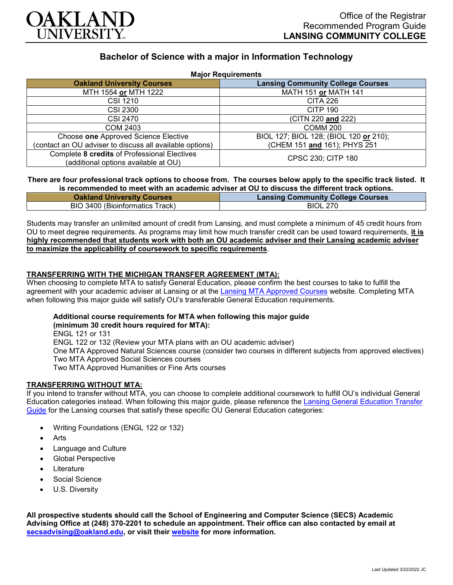

# **Bachelor of Science with a major in Information Technology**

| <b>Major Requirements</b>                                                            |                                          |
|--------------------------------------------------------------------------------------|------------------------------------------|
| <b>Oakland University Courses</b>                                                    | <b>Lansing Community College Courses</b> |
| MTH 1554 or MTH 1222                                                                 | MATH 151 or MATH 141                     |
| CSI 1210                                                                             | <b>CITA 226</b>                          |
| <b>CSI 2300</b>                                                                      | <b>CITP 190</b>                          |
| CSI 2470                                                                             | (CITN 220 and 222)                       |
| COM 2403                                                                             | <b>COMM 200</b>                          |
| Choose one Approved Science Elective                                                 | BIOL 127; BIOL 128; (BIOL 120 or 210);   |
| (contact an OU adviser to discuss all available options)                             | (CHEM 151 and 161); PHYS 251             |
| Complete 8 credits of Professional Electives<br>(additional options available at OU) | CPSC 230; CITP 180                       |

### **There are four professional track options to choose from. The courses below apply to the specific track listed. It is recommended to meet with an academic adviser at OU to discuss the different track options.**

| <b>Oakland University Courses</b> | <b>Lansing Community College Courses</b> |
|-----------------------------------|------------------------------------------|
| BIO 3400 (Bioinformatics Track)   | <b>BIOL 270</b>                          |

Students may transfer an unlimited amount of credit from Lansing, and must complete a minimum of 45 credit hours from OU to meet degree requirements. As programs may limit how much transfer credit can be used toward requirements, **it is highly recommended that students work with both an OU academic adviser and their Lansing academic adviser to maximize the applicability of coursework to specific requirements**.

# **TRANSFERRING WITH THE MICHIGAN TRANSFER AGREEMENT (MTA):**

When choosing to complete MTA to satisfy General Education, please confirm the best courses to take to fulfill the agreement with your academic adviser at Lansing or at the [Lansing MTA Approved Courses](https://www.lcc.edu/academics/transfer/mta.html) website. Completing MTA when following this major guide will satisfy OU's transferable General Education requirements.

# **Additional course requirements for MTA when following this major guide**

**(minimum 30 credit hours required for MTA):** ENGL 121 or 131 ENGL 122 or 132 (Review your MTA plans with an OU academic adviser) One MTA Approved Natural Sciences course (consider two courses in different subjects from approved electives) Two MTA Approved Social Sciences courses Two MTA Approved Humanities or Fine Arts courses

### **TRANSFERRING WITHOUT MTA:**

If you intend to transfer without MTA, you can choose to complete additional coursework to fulfill OU's individual General Education categories instead. When following this major guide, please reference the [Lansing General Education Transfer](https://www.oakland.edu/Assets/Oakland/program-guides/lansing-community-college/university-general-education-requirements/Lansing%20Gen%20Ed.pdf)  [Guide](https://www.oakland.edu/Assets/Oakland/program-guides/lansing-community-college/university-general-education-requirements/Lansing%20Gen%20Ed.pdf) for the Lansing courses that satisfy these specific OU General Education categories:

- Writing Foundations (ENGL 122 or 132)
- **Arts**
- Language and Culture
- Global Perspective
- **Literature**
- Social Science
- U.S. Diversity

**All prospective students should call the School of Engineering and Computer Science (SECS) Academic Advising Office at (248) 370-2201 to schedule an appointment. Their office can also contacted by email at [secsadvising@oakland.edu,](mailto:secsadvising@oakland.edu) or visit their [website](https://wwwp.oakland.edu/secs/advising/) for more information.**